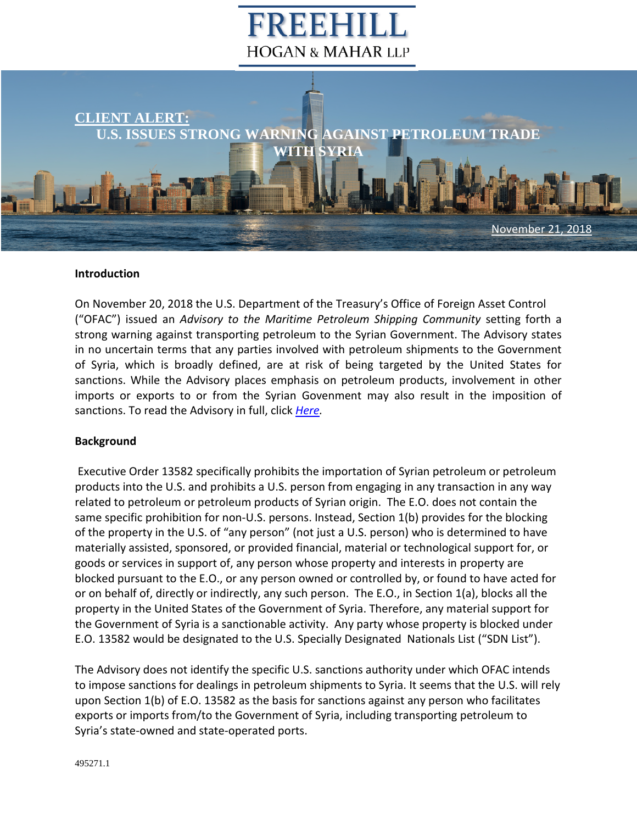## FREEH **HOGAN & MAHAR LLP**



## **Introduction**

On November 20, 2018 the U.S. Department of the Treasury's Office of Foreign Asset Control ("OFAC") issued an *Advisory to the Maritime Petroleum Shipping Community* setting forth a strong warning against transporting petroleum to the Syrian Government. The Advisory states in no uncertain terms that any parties involved with petroleum shipments to the Government of Syria, which is broadly defined, are at risk of being targeted by the United States for sanctions. While the Advisory places emphasis on petroleum products, involvement in other imports or exports to or from the Syrian Govenment may also result in the imposition of sanctions. To read the Advisory in full, click *[Here.](https://www.freehill.com/wp-content/uploads/2018/11/NYDOCS1-495282-v1-Full_Advisory_for_Client_Alert_11_21_18.pdf)* 

## **Background**

 Executive Order 13582 specifically prohibits the importation of Syrian petroleum or petroleum products into the U.S. and prohibits a U.S. person from engaging in any transaction in any way related to petroleum or petroleum products of Syrian origin. The E.O. does not contain the same specific prohibition for non-U.S. persons. Instead, Section 1(b) provides for the blocking of the property in the U.S. of "any person" (not just a U.S. person) who is determined to have materially assisted, sponsored, or provided financial, material or technological support for, or goods or services in support of, any person whose property and interests in property are blocked pursuant to the E.O., or any person owned or controlled by, or found to have acted for or on behalf of, directly or indirectly, any such person. The E.O., in Section 1(a), blocks all the property in the United States of the Government of Syria. Therefore, any material support for the Government of Syria is a sanctionable activity. Any party whose property is blocked under E.O. 13582 would be designated to the U.S. Specially Designated Nationals List ("SDN List").

The Advisory does not identify the specific U.S. sanctions authority under which OFAC intends to impose sanctions for dealings in petroleum shipments to Syria. It seems that the U.S. will rely upon Section 1(b) of E.O. 13582 as the basis for sanctions against any person who facilitates exports or imports from/to the Government of Syria, including transporting petroleum to Syria's state-owned and state-operated ports.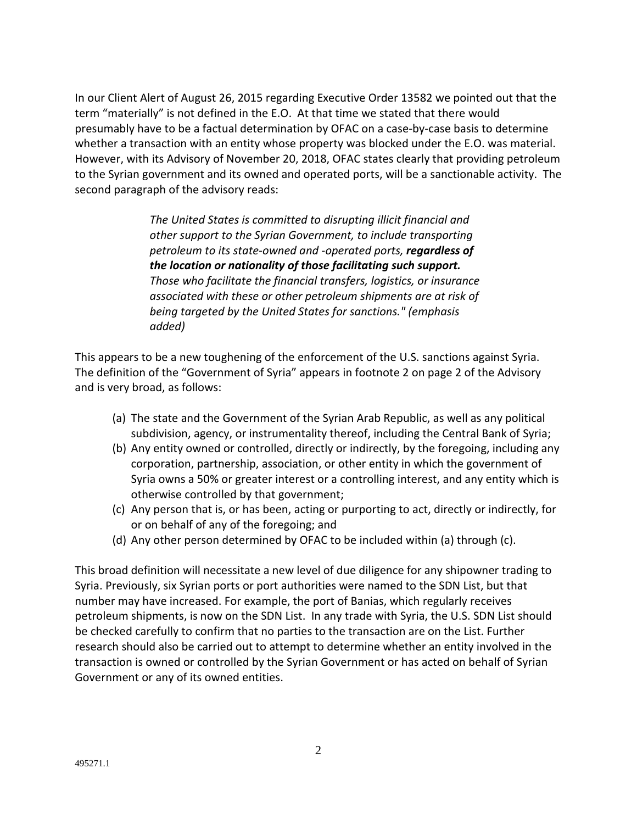In our Client Alert of August 26, 2015 regarding Executive Order 13582 we pointed out that the term "materially" is not defined in the E.O. At that time we stated that there would presumably have to be a factual determination by OFAC on a case-by-case basis to determine whether a transaction with an entity whose property was blocked under the E.O. was material. However, with its Advisory of November 20, 2018, OFAC states clearly that providing petroleum to the Syrian government and its owned and operated ports, will be a sanctionable activity. The second paragraph of the advisory reads:

> *The United States is committed to disrupting illicit financial and other support to the Syrian Government, to include transporting petroleum to its state-owned and -operated ports, regardless of the location or nationality of those facilitating such support. Those who facilitate the financial transfers, logistics, or insurance associated with these or other petroleum shipments are at risk of being targeted by the United States for sanctions." (emphasis added)*

This appears to be a new toughening of the enforcement of the U.S. sanctions against Syria. The definition of the "Government of Syria" appears in footnote 2 on page 2 of the Advisory and is very broad, as follows:

- (a) The state and the Government of the Syrian Arab Republic, as well as any political subdivision, agency, or instrumentality thereof, including the Central Bank of Syria;
- (b) Any entity owned or controlled, directly or indirectly, by the foregoing, including any corporation, partnership, association, or other entity in which the government of Syria owns a 50% or greater interest or a controlling interest, and any entity which is otherwise controlled by that government;
- (c) Any person that is, or has been, acting or purporting to act, directly or indirectly, for or on behalf of any of the foregoing; and
- (d) Any other person determined by OFAC to be included within (a) through (c).

This broad definition will necessitate a new level of due diligence for any shipowner trading to Syria. Previously, six Syrian ports or port authorities were named to the SDN List, but that number may have increased. For example, the port of Banias, which regularly receives petroleum shipments, is now on the SDN List. In any trade with Syria, the U.S. SDN List should be checked carefully to confirm that no parties to the transaction are on the List. Further research should also be carried out to attempt to determine whether an entity involved in the transaction is owned or controlled by the Syrian Government or has acted on behalf of Syrian Government or any of its owned entities.